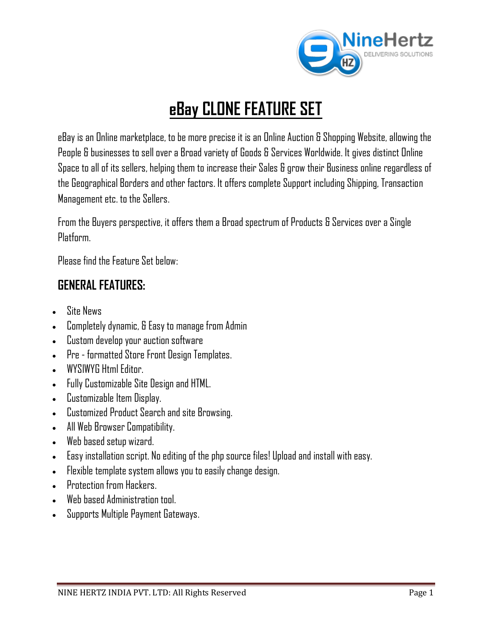

# **eBay CLONE FEATURE SET**

eBay is an Online marketplace, to be more precise it is an Online Auction & Shopping Website, allowing the People & businesses to sell over a Broad variety of Goods & Services Worldwide. It gives distinct Online Space to all of its sellers, helping them to increase their Sales & grow their Business online regardless of the Geographical Borders and other factors. It offers complete Support including Shipping, Transaction Management etc. to the Sellers.

From the Buyers perspective, it offers them a Broad spectrum of Products & Services over a Single Platform

Please find the Feature Set below:

# **GENERAL FEATURES:**

- Site News
- Completely dynamic, & Easy to manage from Admin
- Custom develop your auction software
- Pre formatted Store Front Design Templates.
- WYSIWYG Html Editor.
- Fully Customizable Site Design and HTML.
- Customizable Item Display.
- Customized Product Search and site Browsing.
- All Web Browser Compatibility.
- Web based setup wizard.
- Easy installation script. No editing of the php source files! Upload and install with easy.
- Flexible template system allows you to easily change design.
- **•** Protection from Hackers.
- Web based Administration tool.
- Supports Multiple Payment Gateways.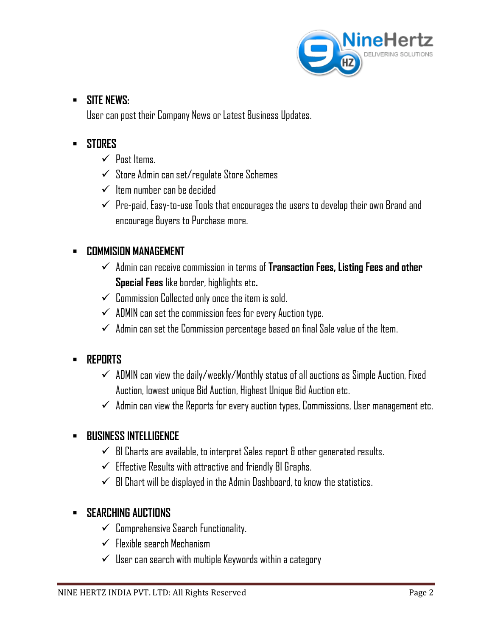

### **SITE NEWS:**

User can post their Company News or Latest Business Updates.

### **STORES**

- $\checkmark$  Post Items.
- $\checkmark$  Store Admin can set/regulate Store Schemes
- $\checkmark$  Item number can be decided
- $\checkmark$  Pre-paid, Easy-to-use Tools that encourages the users to develop their own Brand and encourage Buyers to Purchase more.

### **COMMISION MANAGEMENT**

- Admin can receive commission in terms of **Transaction Fees, Listing Fees and other Special Fees** like border, highlights etc**.**
- $\checkmark$  Commission Collected only once the item is sold.
- $\checkmark$  ADMIN can set the commission fees for every Auction type.
- $\checkmark$  Admin can set the Commission percentage based on final Sale value of the Item.

### **REPORTS**

- $\checkmark$  ADMIN can view the daily/weekly/Monthly status of all auctions as Simple Auction, Fixed Auction, lowest unique Bid Auction, Highest Unique Bid Auction etc.
- $\checkmark$  Admin can view the Reports for every auction types, Commissions, User management etc.

### **BUSINESS INTELLIGENCE**

- $\checkmark$  BI Charts are available, to interpret Sales report & other generated results.
- $\checkmark$  Effective Results with attractive and friendly BI Graphs.
- $\checkmark$  BI Chart will be displayed in the Admin Dashboard, to know the statistics.

### **SEARCHING AUCTIONS**

- $\checkmark$  Comprehensive Search Functionality.
- $\checkmark$  Flexible search Mechanism
- $\checkmark$  User can search with multiple Keywords within a category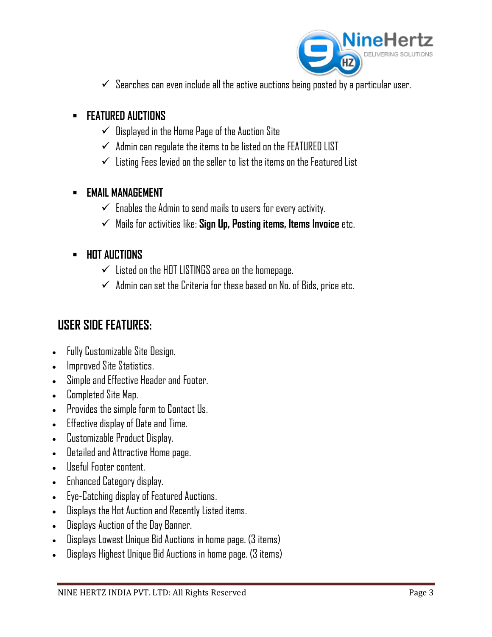

 $\checkmark$  Searches can even include all the active auctions being posted by a particular user.

### **FEATURED AUCTIONS**

- $\checkmark$  Displayed in the Home Page of the Auction Site
- $\checkmark$  Admin can regulate the items to be listed on the FEATURED LIST
- $\checkmark$  Listing Fees levied on the seller to list the items on the Featured List

### **EMAIL MANAGEMENT**

- $\checkmark$  Enables the Admin to send mails to users for every activity.
- Mails for activities like: **Sign Up, Posting items, Items Invoice** etc.

### **HOT AUCTIONS**

- $\checkmark$  Listed on the HOT LISTINGS area on the homepage.
- $\checkmark$  Admin can set the Criteria for these based on No. of Bids, price etc.

# **USER SIDE FEATURES:**

- Fully Customizable Site Design.
- Improved Site Statistics.
- Simple and Effective Header and Footer.
- Completed Site Map.
- Provides the simple form to Contact Us.
- Effective display of Date and Time.
- Customizable Product Display.
- Detailed and Attractive Home page.
- Useful Footer content.
- Enhanced Category display.
- Eye-Catching display of Featured Auctions.
- Displays the Hot Auction and Recently Listed items.
- Displays Auction of the Day Banner.
- Displays Lowest Unique Bid Auctions in home page. (3 items)
- Displays Highest Unique Bid Auctions in home page. (3 items)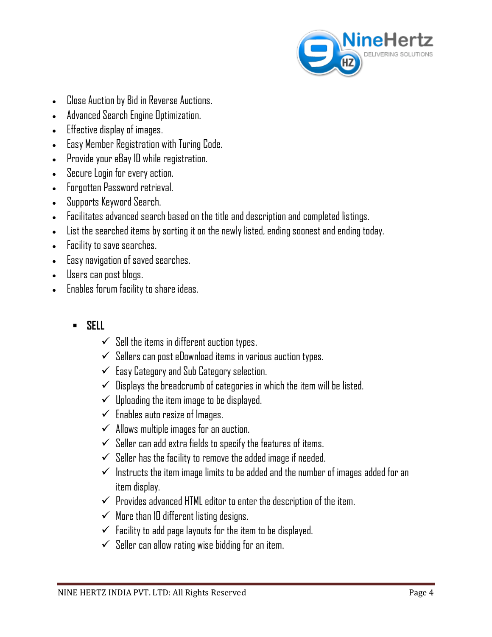

- Close Auction by Bid in Reverse Auctions.
- Advanced Search Engine Optimization.
- Effective display of images.
- Easy Member Registration with Turing Code.
- Provide your eBay ID while registration.
- Secure Login for every action.
- Forgotten Password retrieval.
- Supports Keyword Search.
- Facilitates advanced search based on the title and description and completed listings.
- List the searched items by sorting it on the newly listed, ending soonest and ending today.
- Facility to save searches.
- Easy navigation of saved searches.
- Users can post blogs.
- Enables forum facility to share ideas.
	- **SELL**
		- $\checkmark$  Sell the items in different auction types.
		- $\checkmark$  Sellers can post eDownload items in various auction types.
		- $\checkmark$  Easy Category and Sub Category selection.
		- $\checkmark$  Displays the breadcrumb of categories in which the item will be listed.
		- $\checkmark$  Uploading the item image to be displayed.
		- $\checkmark$  Enables auto resize of Images.
		- $\checkmark$  Allows multiple images for an auction.
		- $\checkmark$  Seller can add extra fields to specify the features of items.
		- $\checkmark$  Seller has the facility to remove the added image if needed.
		- $\checkmark$  Instructs the item image limits to be added and the number of images added for an item display.
		- $\checkmark$  Provides advanced HTML editor to enter the description of the item.
		- $\checkmark$  More than 10 different listing designs.
		- $\checkmark$  Facility to add page layouts for the item to be displayed.
		- $\checkmark$  Seller can allow rating wise bidding for an item.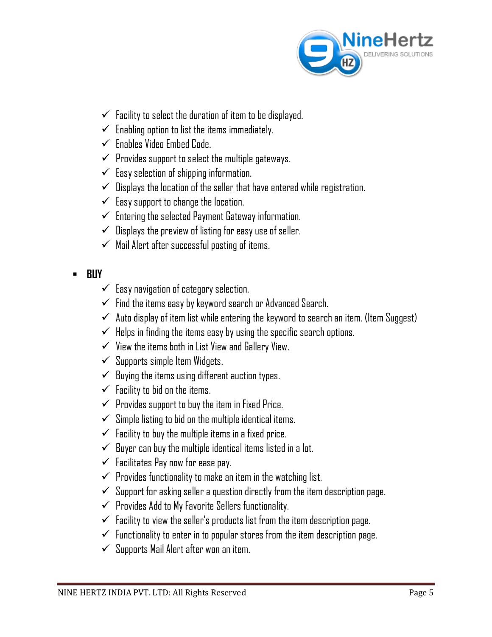

- $\checkmark$  Facility to select the duration of item to be displayed.
- $\checkmark$  Enabling option to list the items immediately.
- $\checkmark$  Enables Video Embed Code.
- $\checkmark$  Provides support to select the multiple gateways.
- $\checkmark$  Easy selection of shipping information.
- $\checkmark$  Displays the location of the seller that have entered while registration.
- $\checkmark$  Easy support to change the location.
- $\checkmark$  Entering the selected Payment Gateway information.
- $\checkmark$  Displays the preview of listing for easy use of seller.
- $\checkmark$  Mail Alert after successful posting of items.
- **BUY**
	- $\checkmark$  Easy navigation of category selection.
	- $\checkmark$  Find the items easy by keyword search or Advanced Search.
	- $\checkmark$  Auto display of item list while entering the keyword to search an item. (Item Suggest)
	- $\checkmark$  Helps in finding the items easy by using the specific search options.
	- $\checkmark$  View the items both in List View and Gallery View.
	- $\checkmark$  Supports simple Item Widgets.
	- $\checkmark$  Buying the items using different auction types.
	- $\checkmark$  Facility to bid on the items.
	- $\checkmark$  Provides support to buy the item in Fixed Price.
	- $\checkmark$  Simple listing to bid on the multiple identical items.
	- $\checkmark$  Facility to buy the multiple items in a fixed price.
	- $\checkmark$  Buyer can buy the multiple identical items listed in a lot.
	- $\checkmark$  Facilitates Pay now for ease pay.
	- $\checkmark$  Provides functionality to make an item in the watching list.
	- $\checkmark$  Support for asking seller a question directly from the item description page.
	- $\checkmark$  Provides Add to My Favorite Sellers functionality.
	- $\checkmark$  Facility to view the seller's products list from the item description page.
	- $\checkmark$  functionality to enter in to popular stores from the item description page.
	- $\checkmark$  Supports Mail Alert after won an item.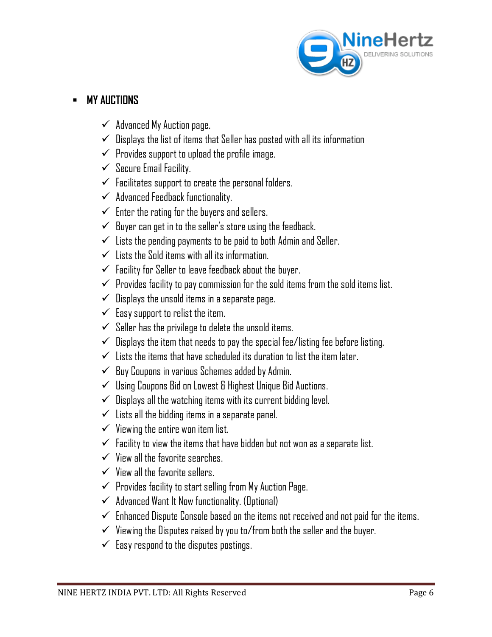

### **MY AUCTIONS**

- $\checkmark$  Advanced My Auction page.
- $\checkmark$  Displays the list of items that Seller has posted with all its information
- $\checkmark$  Provides support to upload the profile image.
- $\checkmark$  Secure Email Facility.
- $\checkmark$  Facilitates support to create the personal folders.
- $\checkmark$  Advanced Feedback functionality.
- $\checkmark$  Enter the rating for the buyers and sellers.
- $\checkmark$  Buyer can get in to the seller's store using the feedback.
- $\checkmark$  Lists the pending payments to be paid to both Admin and Seller.
- $\checkmark$  Lists the Sold items with all its information.
- $\checkmark$  Facility for Seller to leave feedback about the buyer.
- $\checkmark$  Provides facility to pay commission for the sold items from the sold items list.
- $\checkmark$  Displays the unsold items in a separate page.
- $\checkmark$  Easy support to relist the item.
- $\checkmark$  Seller has the privilege to delete the unsold items.
- $\checkmark$  Displays the item that needs to pay the special fee/listing fee before listing.
- $\checkmark$  Lists the items that have scheduled its duration to list the item later.
- $\checkmark$  Buy Coupons in various Schemes added by Admin.
- $\checkmark$  Using Coupons Bid on Lowest & Highest Unique Bid Auctions.
- $\checkmark$  Displays all the watching items with its current bidding level.
- $\checkmark$  Lists all the bidding items in a separate panel.
- $\checkmark$  Viewing the entire won item list.
- $\checkmark$  Facility to view the items that have bidden but not won as a separate list.
- $\checkmark$  View all the favorite searches.
- $\checkmark$  View all the favorite sellers.
- $\checkmark$  Provides facility to start selling from My Auction Page.
- $\checkmark$  Advanced Want It Now functionality. (Optional)
- $\checkmark$  Enhanced Dispute Console based on the items not received and not paid for the items.
- $\checkmark$  Viewing the Disputes raised by you to/from both the seller and the buyer.
- $\checkmark$  Easy respond to the disputes postings.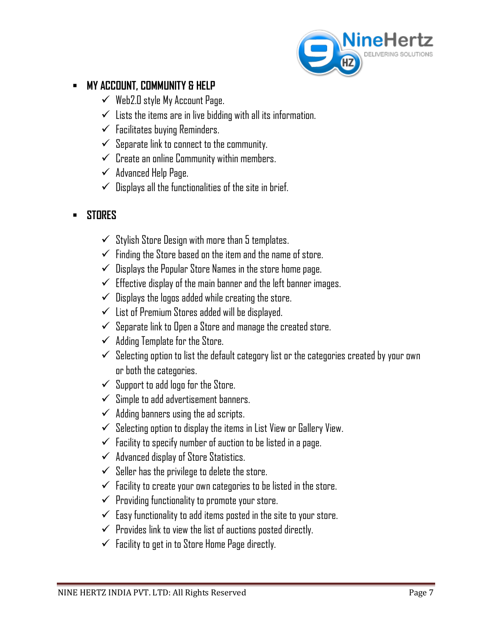

### **MY ACCOUNT, COMMUNITY & HELP**

- $\checkmark$  Web2.0 style My Account Page.
- $\checkmark$  Lists the items are in live bidding with all its information.
- $\checkmark$  Facilitates buying Reminders.
- $\checkmark$  Separate link to connect to the community.
- $\checkmark$  Create an online Community within members.
- $\checkmark$  Advanced Help Page.
- $\checkmark$  Displays all the functionalities of the site in brief.
- **STORES** 
	- $\checkmark$  Stylish Store Design with more than 5 templates.
	- $\checkmark$  Finding the Store based on the item and the name of store.
	- $\checkmark$  Displays the Popular Store Names in the store home page.
	- $\checkmark$  Effective display of the main banner and the left banner images.
	- $\checkmark$  Displays the logos added while creating the store.
	- $\checkmark$  List of Premium Stores added will be displayed.
	- $\checkmark$  Separate link to Open a Store and manage the created store.
	- $\checkmark$  Adding Template for the Store.
	- $\checkmark$  Selecting option to list the default category list or the categories created by your own or both the categories.
	- $\checkmark$  Support to add logo for the Store.
	- $\checkmark$  Simple to add advertisement banners.
	- $\checkmark$  Adding banners using the ad scripts.
	- $\checkmark$  Selecting option to display the items in List View or Gallery View.
	- $\checkmark$  Facility to specify number of auction to be listed in a page.
	- $\checkmark$  Advanced display of Store Statistics.
	- $\checkmark$  Seller has the privilege to delete the store.
	- $\checkmark$  Facility to create your own categories to be listed in the store.
	- $\checkmark$  Providing functionality to promote your store.
	- $\checkmark$  Easy functionality to add items posted in the site to your store.
	- $\checkmark$  Provides link to view the list of auctions posted directly.
	- $\checkmark$  Facility to get in to Store Home Page directly.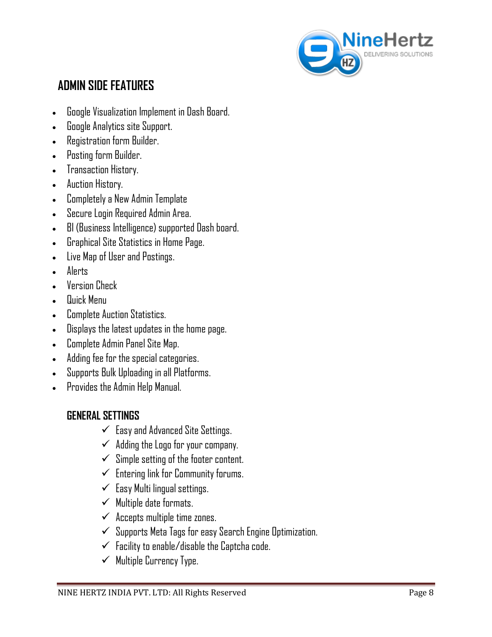

# **ADMIN SIDE FEATURES**

- Google Visualization Implement in Dash Board.
- Google Analytics site Support.
- Registration form Builder.
- Posting form Builder.
- Transaction History.
- Auction History.
- Completely a New Admin Template
- Secure Login Required Admin Area.
- BI (Business Intelligence) supported Dash board.
- Graphical Site Statistics in Home Page.
- Live Map of User and Postings.
- Alerts
- Version Check
- Quick Menu
- Complete Auction Statistics.
- Displays the latest updates in the home page.
- Complete Admin Panel Site Map.
- Adding fee for the special categories.
- Supports Bulk Uploading in all Platforms.
- Provides the Admin Help Manual.

### **GENERAL SETTINGS**

- $\checkmark$  Easy and Advanced Site Settings.
- $\checkmark$  Adding the Logo for your company.
- $\checkmark$  Simple setting of the footer content.
- $\checkmark$  Entering link for Community forums.
- $\checkmark$  Easy Multi lingual settings.
- $\checkmark$  Multiple date formats.
- $\checkmark$  Accepts multiple time zones.
- $\checkmark$  Supports Meta Tags for easy Search Engine Optimization.
- $\checkmark$  Facility to enable/disable the Captcha code.
- $\checkmark$  Multiple Currency Type.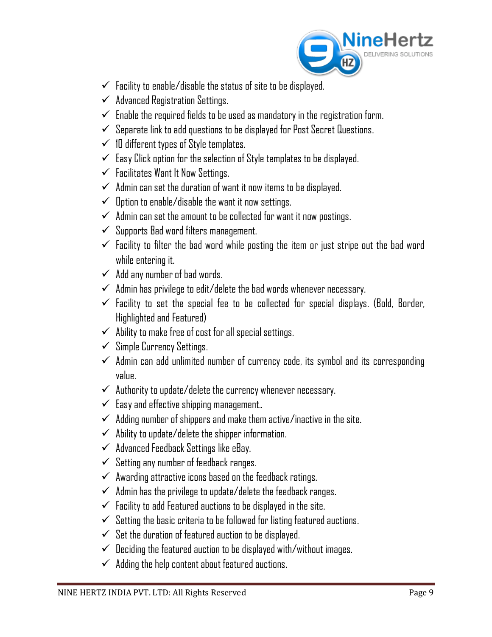

- $\checkmark$  Facility to enable/disable the status of site to be displayed.
- $\checkmark$  Advanced Registration Settings.
- $\checkmark$  Enable the required fields to be used as mandatory in the registration form.
- $\checkmark$  Separate link to add questions to be displayed for Post Secret Questions.
- $\checkmark$  10 different types of Style templates.
- $\checkmark$  Easy Click option for the selection of Style templates to be displayed.
- $\checkmark$  Facilitates Want It Now Settings.
- $\checkmark$  Admin can set the duration of want it now items to be displayed.
- $\checkmark$  Option to enable/disable the want it now settings.
- $\checkmark$  Admin can set the amount to be collected for want it now postings.
- $\checkmark$  Supports Bad word filters management.
- $\checkmark$  Facility to filter the bad word while posting the item or just stripe out the bad word while entering it.
- $\checkmark$  Add any number of bad words.
- $\checkmark$  Admin has privilege to edit/delete the bad words whenever necessary.
- $\checkmark$  Facility to set the special fee to be collected for special displays. (Bold, Border, Highlighted and Featured)
- $\checkmark$  Ability to make free of cost for all special settings.
- $\checkmark$  Simple Currency Settings.
- $\checkmark$  Admin can add unlimited number of currency code, its symbol and its corresponding value.
- $\checkmark$  Authority to update/delete the currency whenever necessary.
- $\checkmark$  Easy and effective shipping management..
- $\checkmark$  Adding number of shippers and make them active/inactive in the site.
- $\checkmark$  Ability to update/delete the shipper information.
- $\checkmark$  Advanced Feedback Settings like eBay.
- $\checkmark$  Setting any number of feedback ranges.
- $\checkmark$  Awarding attractive icons based on the feedback ratings.
- $\checkmark$  Admin has the privilege to update/delete the feedback ranges.
- $\checkmark$  Facility to add Featured auctions to be displayed in the site.
- $\checkmark$  Setting the basic criteria to be followed for listing featured auctions.
- $\checkmark$  Set the duration of featured auction to be displayed.
- $\checkmark$  Deciding the featured auction to be displayed with/without images.
- $\checkmark$  Adding the help content about featured auctions.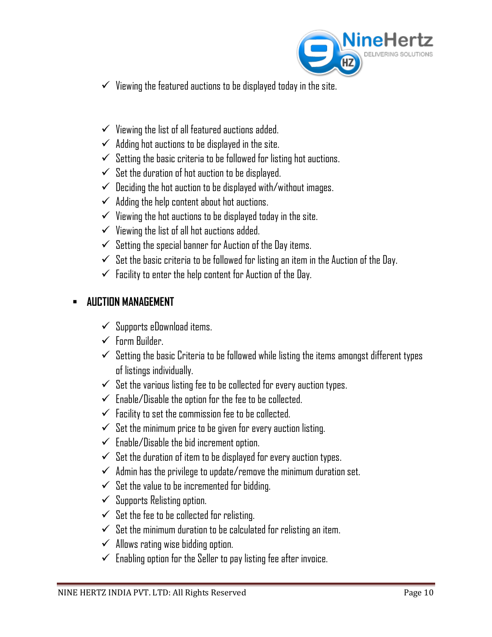

- $\checkmark$  Viewing the featured auctions to be displayed today in the site.
- $\checkmark$  Viewing the list of all featured auctions added.
- $\checkmark$  Adding hot auctions to be displayed in the site.
- $\checkmark$  Setting the basic criteria to be followed for listing hot auctions.
- $\checkmark$  Set the duration of hot auction to be displayed.
- $\checkmark$  Deciding the hot auction to be displayed with/without images.
- $\checkmark$  Adding the help content about hot auctions.
- $\checkmark$  Viewing the hot auctions to be displayed today in the site.
- $\checkmark$  Viewing the list of all hot auctions added.
- $\checkmark$  Setting the special banner for Auction of the Day items.
- $\checkmark$  Set the basic criteria to be followed for listing an item in the Auction of the Day.
- $\checkmark$  Facility to enter the help content for Auction of the Day.

### **AUCTION MANAGEMENT**

- $\checkmark$  Supports eDownload items.
- $\checkmark$  Form Builder.
- $\checkmark$  Setting the basic Criteria to be followed while listing the items amongst different types of listings individually.
- $\checkmark$  Set the various listing fee to be collected for every auction types.
- $\checkmark$  Enable/Disable the option for the fee to be collected.
- $\checkmark$  Facility to set the commission fee to be collected.
- $\checkmark$  Set the minimum price to be given for every auction listing.
- $\checkmark$  Enable/Disable the bid increment option.
- $\checkmark$  Set the duration of item to be displayed for every auction types.
- $\checkmark$  Admin has the privilege to update/remove the minimum duration set.
- $\checkmark$  Set the value to be incremented for bidding.
- $\checkmark$  Supports Relisting option.
- $\checkmark$  Set the fee to be collected for relisting.
- $\checkmark$  Set the minimum duration to be calculated for relisting an item.
- $\checkmark$  Allows rating wise bidding option.
- $\checkmark$  Enabling option for the Seller to pay listing fee after invoice.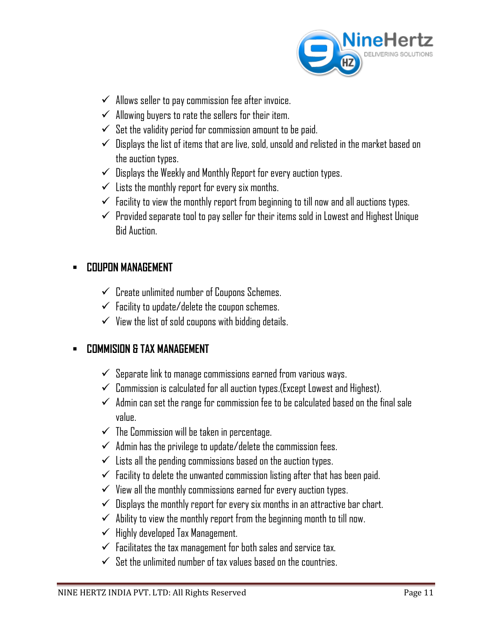

- $\checkmark$  Allows seller to pay commission fee after invoice.
- $\checkmark$  Allowing buyers to rate the sellers for their item.
- $\checkmark$  Set the validity period for commission amount to be paid.
- $\checkmark$  Displays the list of items that are live, sold, unsold and relisted in the market based on the auction types.
- $\checkmark$  Displays the Weekly and Monthly Report for every auction types.
- $\checkmark$  Lists the monthly report for every six months.
- $\checkmark$  Facility to view the monthly report from beginning to till now and all auctions types.
- $\checkmark$  Provided separate tool to pay seller for their items sold in Lowest and Highest Unique Bid Auction.

### **COUPON MANAGEMENT**

- $\checkmark$  Create unlimited number of Coupons Schemes.
- $\checkmark$  Facility to update/delete the coupon schemes.
- $\checkmark$  View the list of sold coupons with bidding details.

### **COMMISION & TAX MANAGEMENT**

- $\checkmark$  Separate link to manage commissions earned from various ways.
- $\checkmark$  Commission is calculated for all auction types. (Except Lowest and Highest).
- $\checkmark$  Admin can set the range for commission fee to be calculated based on the final sale value.
- $\checkmark$  The Commission will be taken in percentage.
- $\checkmark$  Admin has the privilege to update/delete the commission fees.
- $\checkmark$  Lists all the pending commissions based on the auction types.
- $\checkmark$  Facility to delete the unwanted commission listing after that has been paid.
- $\checkmark$  View all the monthly commissions earned for every auction types.
- $\checkmark$  Displays the monthly report for every six months in an attractive bar chart.
- $\checkmark$  Ability to view the monthly report from the beginning month to till now.
- $\checkmark$  Highly developed Tax Management.
- $\checkmark$  Facilitates the tax management for both sales and service tax.
- $\checkmark$  Set the unlimited number of tax values based on the countries.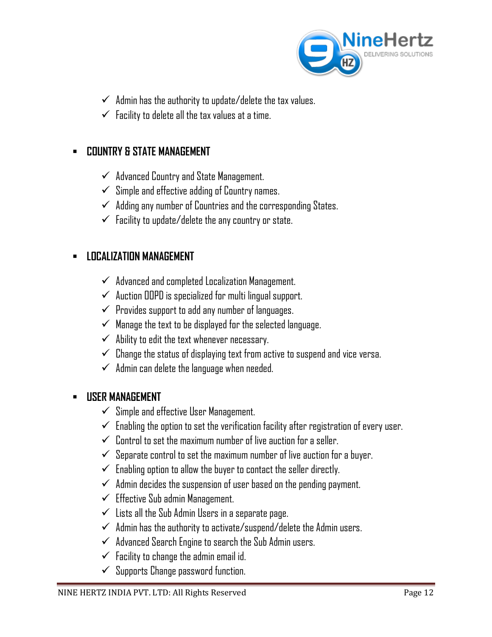

- $\checkmark$  Admin has the authority to update/delete the tax values.
- $\checkmark$  Facility to delete all the tax values at a time.

### **COUNTRY & STATE MANAGEMENT**

- $\checkmark$  Advanced Country and State Management.
- $\checkmark$  Simple and effective adding of Country names.
- $\checkmark$  Adding any number of Countries and the corresponding States.
- $\checkmark$  Facility to update/delete the any country or state.

### **LOCALIZATION MANAGEMENT**

- $\checkmark$  Advanced and completed Localization Management.
- $\checkmark$  Auction OOPD is specialized for multi lingual support.
- $\checkmark$  Provides support to add any number of languages.
- $\checkmark$  Manage the text to be displayed for the selected language.
- $\checkmark$  Ability to edit the text whenever necessary.
- $\checkmark$  Change the status of displaying text from active to suspend and vice versa.
- $\checkmark$  Admin can delete the language when needed.

#### **USER MANAGEMENT**

- $\checkmark$  Simple and effective User Management.
- $\checkmark$  Enabling the option to set the verification facility after registration of every user.
- $\checkmark$  Control to set the maximum number of live auction for a seller.
- $\checkmark$  Separate control to set the maximum number of live auction for a buyer.
- $\checkmark$  Enabling option to allow the buyer to contact the seller directly.
- $\checkmark$  Admin decides the suspension of user based on the pending payment.
- $\checkmark$  Effective Sub admin Management.
- $\checkmark$  Lists all the Sub Admin Users in a separate page.
- $\checkmark$  Admin has the authority to activate/suspend/delete the Admin users.
- $\checkmark$  Advanced Search Engine to search the Sub Admin users.
- $\checkmark$  Facility to change the admin email id.
- $\checkmark$  Supports Change password function.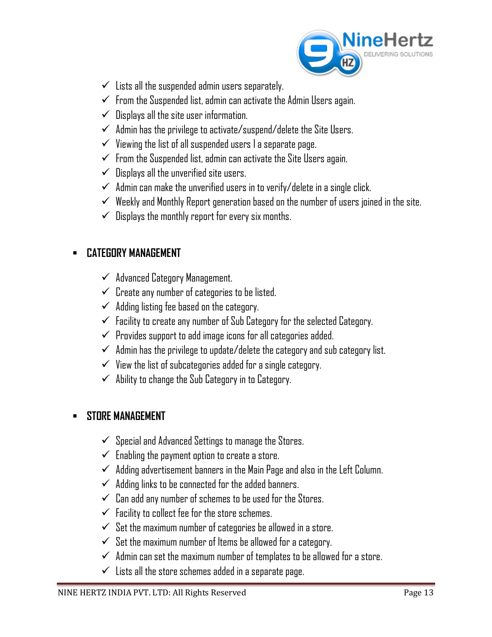

- $\checkmark$  Lists all the suspended admin users separately.
- $\checkmark$  From the Suspended list, admin can activate the Admin Users again.
- $\checkmark$  Displays all the site user information.
- $\checkmark$  Admin has the privilege to activate/suspend/delete the Site Users.
- $\checkmark$  Viewing the list of all suspended users I a separate page.
- $\checkmark$  From the Suspended list, admin can activate the Site Users again.
- $\checkmark$  Displays all the unverified site users.
- $\checkmark$  Admin can make the unverified users in to verify/delete in a single click.
- $\checkmark$  Weekly and Monthly Report generation based on the number of users joined in the site.
- $\checkmark$  Displays the monthly report for every six months.

### **CATEGORY MANAGEMENT**

- $\checkmark$  Advanced Category Management.
- $\checkmark$  Create any number of categories to be listed.
- $\checkmark$  Adding listing fee based on the category.
- $\checkmark$  Facility to create any number of Sub Category for the selected Category.
- $\checkmark$  Provides support to add image icons for all categories added.
- $\checkmark$  Admin has the privilege to update/delete the category and sub category list.
- $\checkmark$  View the list of subcategories added for a single category.
- $\checkmark$  Ability to change the Sub Category in to Category.

### **STORE MANAGEMENT**

- $\checkmark$  Special and Advanced Settings to manage the Stores.
- $\checkmark$  Enabling the payment option to create a store.
- $\checkmark$  Adding advertisement banners in the Main Page and also in the Left Column.
- $\checkmark$  Adding links to be connected for the added banners.
- $\checkmark$  Can add any number of schemes to be used for the Stores.
- $\checkmark$  Facility to collect fee for the store schemes.
- $\checkmark$  Set the maximum number of categories be allowed in a store.
- $\checkmark$  Set the maximum number of Items be allowed for a category.
- $\checkmark$  Admin can set the maximum number of templates to be allowed for a store.
- $\checkmark$  Lists all the store schemes added in a separate page.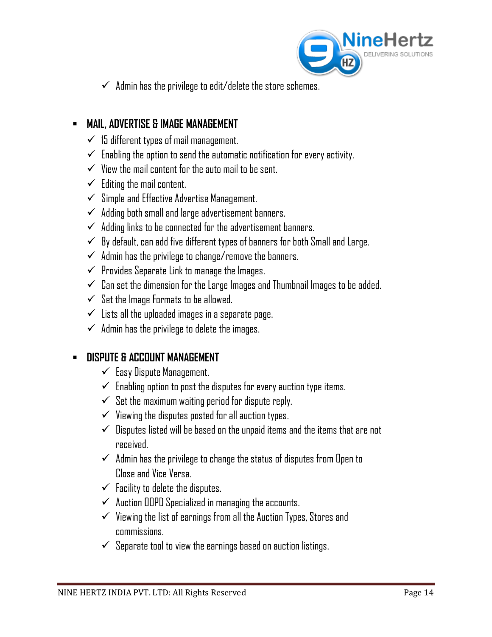

 $\checkmark$  Admin has the privilege to edit/delete the store schemes.

### **MAIL, ADVERTISE & IMAGE MANAGEMENT**

- $\checkmark$  15 different types of mail management.
- $\checkmark$  Enabling the option to send the automatic notification for every activity.
- $\checkmark$  View the mail content for the auto mail to be sent.
- $\checkmark$  Editing the mail content.
- $\checkmark$  Simple and Effective Advertise Management.
- $\checkmark$  Adding both small and large advertisement banners.
- $\checkmark$  Adding links to be connected for the advertisement banners.
- $\checkmark$  By default, can add five different types of banners for both Small and Large.
- $\checkmark$  Admin has the privilege to change/remove the banners.
- $\checkmark$  Provides Separate Link to manage the Images.
- $\checkmark$  Can set the dimension for the Large Images and Thumbnail Images to be added.
- $\checkmark$  Set the Image Formats to be allowed.
- $\checkmark$  Lists all the uploaded images in a separate page.
- $\checkmark$  Admin has the privilege to delete the images.

### **DISPUTE & ACCOUNT MANAGEMENT**

- $\checkmark$  Easy Dispute Management.
- $\checkmark$  Enabling option to post the disputes for every auction type items.
- $\checkmark$  Set the maximum waiting period for dispute reply.
- $\checkmark$  Viewing the disputes posted for all auction types.
- $\checkmark$  Disputes listed will be based on the unpaid items and the items that are not received.
- $\checkmark$  Admin has the privilege to change the status of disputes from Open to Close and Vice Versa.
- $\checkmark$  Facility to delete the disputes.
- $\checkmark$  Auction OOPD Specialized in managing the accounts.
- $\checkmark$  Viewing the list of earnings from all the Auction Types, Stores and commissions.
- $\checkmark$  Separate tool to view the earnings based on auction listings.